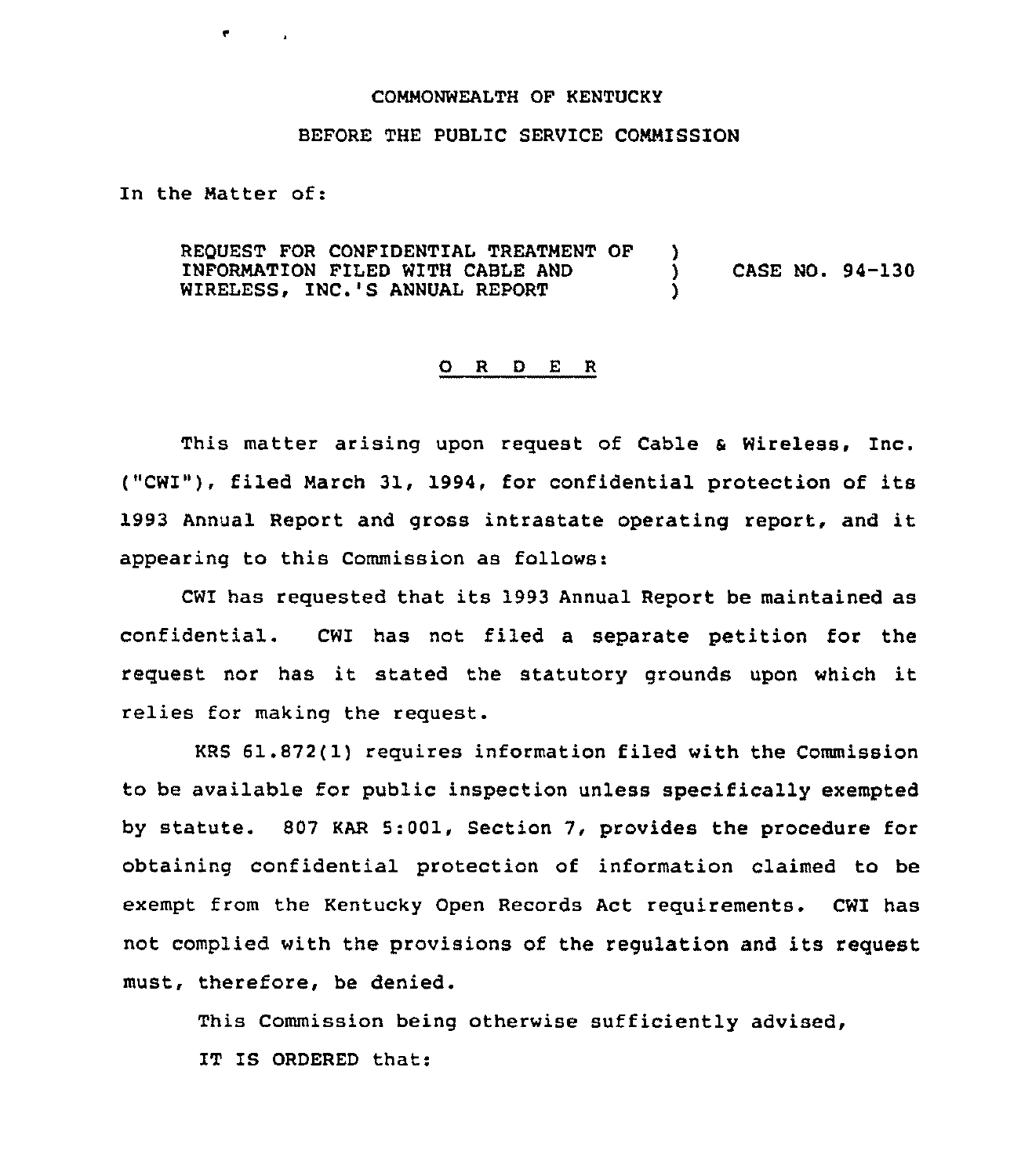## COMMONWEALTH OF KENTUCKY

## BEFORE THE PUBLIC SERVICE COMMISSION

In the Matter of:

REQUEST FOR CONFIDENTIAL TREATMENT OF )<br>INFORMATION FILED WITH CABLE AND ) INFORMATION FILED WITH CABLE AND ) CASE NO. 94-130 WIRELESS. INC.'S ANNUAL REPORT

## 0 <sup>R</sup> <sup>D</sup> <sup>E</sup> <sup>R</sup>

This matter arising upon request of Cable & Wireless, Inc. ("CWI"), filed March 31, 1994, for confidential protection of its 1993 Annual Report and gross intrastate operating report, and it appearinq to this Commission as follows:

CW1 has requested that its 1993 Annual Report be maintained as confidential. CWI has not filed a separate petition for the request nor has it stated the statutory grounds upon which it relies for making the request.

KRS 61.872(1) requires information filed with the Commission to be available for public inspection unless specifically exempted by statute. 807 KAR 5:001, Section 7, provides the procedure for obtaining confidential protection of information claimed to be exempt from the Kentucky Open Records Act requirements. CWI has not complied with the provisions of the regulation and its request must, therefore, be denied.

This Commission being otherwise sufficiently advised, IT IS ORDERED that: